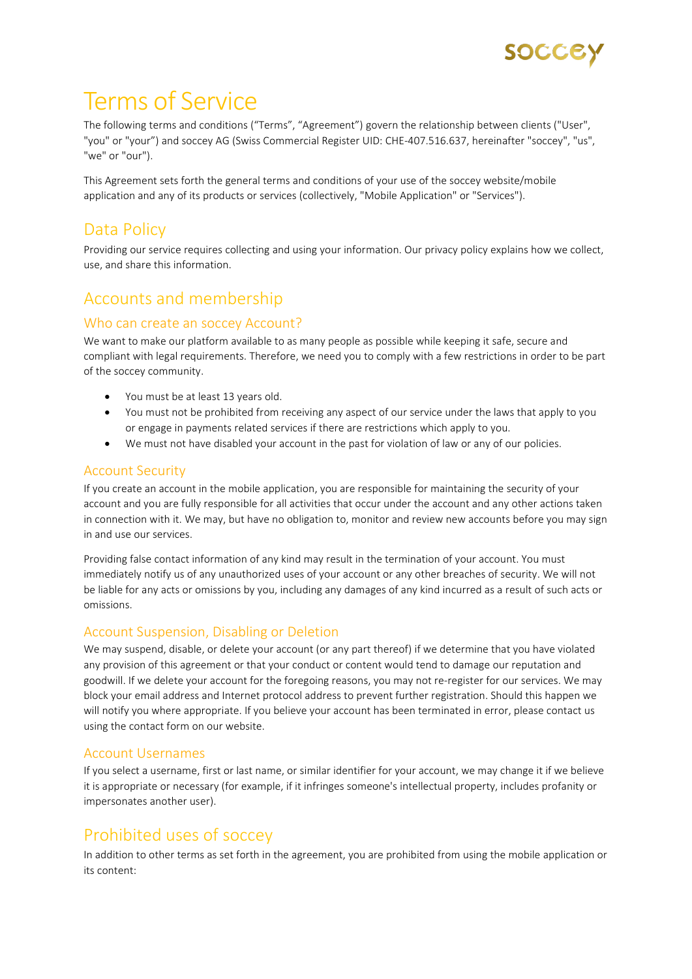

# Terms of Service

The following terms and conditions ("Terms", "Agreement") govern the relationship between clients ("User", "you" or "your") and soccey AG (Swiss Commercial Register UID: CHE-407.516.637, hereinafter "soccey", "us", "we" or "our").

This Agreement sets forth the general terms and conditions of your use of the soccey website/mobile application and any of its products or services (collectively, "Mobile Application" or "Services").

# Data Policy

Providing our service requires collecting and using your information. Our privacy policy explains how we collect, use, and share this information.

# Accounts and membership

#### Who can create an soccey Account?

We want to make our platform available to as many people as possible while keeping it safe, secure and compliant with legal requirements. Therefore, we need you to comply with a few restrictions in order to be part of the soccey community.

- You must be at least 13 years old.
- You must not be prohibited from receiving any aspect of our service under the laws that apply to you or engage in payments related services if there are restrictions which apply to you.
- We must not have disabled your account in the past for violation of law or any of our policies.

#### Account Security

If you create an account in the mobile application, you are responsible for maintaining the security of your account and you are fully responsible for all activities that occur under the account and any other actions taken in connection with it. We may, but have no obligation to, monitor and review new accounts before you may sign in and use our services.

Providing false contact information of any kind may result in the termination of your account. You must immediately notify us of any unauthorized uses of your account or any other breaches of security. We will not be liable for any acts or omissions by you, including any damages of any kind incurred as a result of such acts or omissions.

#### Account Suspension, Disabling or Deletion

We may suspend, disable, or delete your account (or any part thereof) if we determine that you have violated any provision of this agreement or that your conduct or content would tend to damage our reputation and goodwill. If we delete your account for the foregoing reasons, you may not re-register for our services. We may block your email address and Internet protocol address to prevent further registration. Should this happen we will notify you where appropriate. If you believe your account has been terminated in error, please contact us using the contact form on our website.

#### Account Usernames

If you select a username, first or last name, or similar identifier for your account, we may change it if we believe it is appropriate or necessary (for example, if it infringes someone's intellectual property, includes profanity or impersonates another user).

## Prohibited uses of soccey

In addition to other terms as set forth in the agreement, you are prohibited from using the mobile application or its content: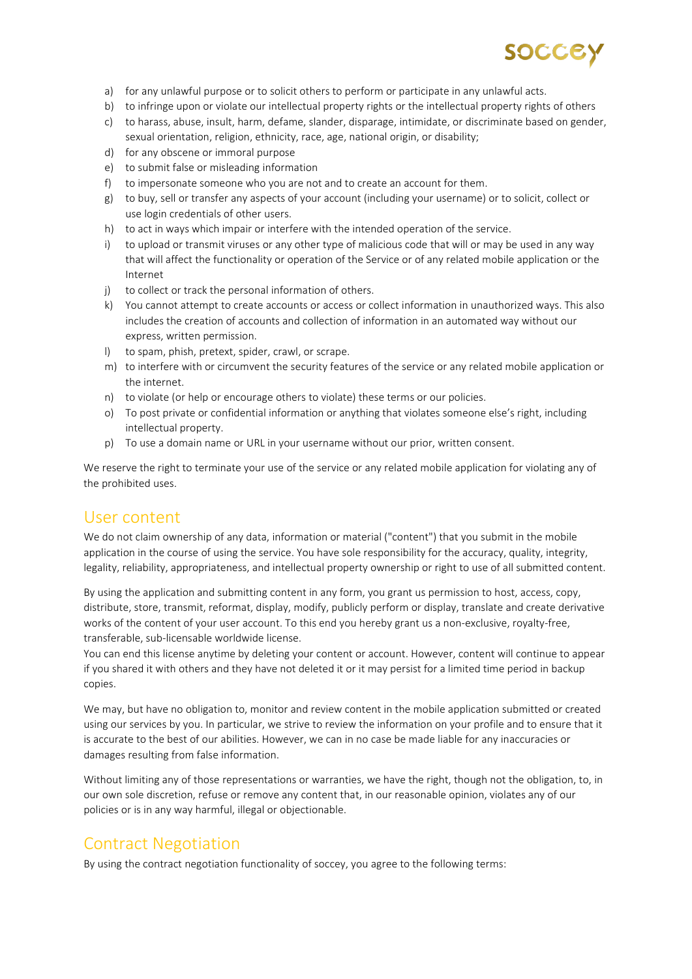

- a) for any unlawful purpose or to solicit others to perform or participate in any unlawful acts.
- b) to infringe upon or violate our intellectual property rights or the intellectual property rights of others
- c) to harass, abuse, insult, harm, defame, slander, disparage, intimidate, or discriminate based on gender, sexual orientation, religion, ethnicity, race, age, national origin, or disability;
- d) for any obscene or immoral purpose
- e) to submit false or misleading information
- f) to impersonate someone who you are not and to create an account for them.
- g) to buy, sell or transfer any aspects of your account (including your username) or to solicit, collect or use login credentials of other users.
- h) to act in ways which impair or interfere with the intended operation of the service.
- i) to upload or transmit viruses or any other type of malicious code that will or may be used in any way that will affect the functionality or operation of the Service or of any related mobile application or the Internet
- j) to collect or track the personal information of others.
- k) You cannot attempt to create accounts or access or collect information in unauthorized ways. This also includes the creation of accounts and collection of information in an automated way without our express, written permission.
- l) to spam, phish, pretext, spider, crawl, or scrape.
- m) to interfere with or circumvent the security features of the service or any related mobile application or the internet.
- n) to violate (or help or encourage others to violate) these terms or our policies.
- o) To post private or confidential information or anything that violates someone else's right, including intellectual property.
- p) To use a domain name or URL in your username without our prior, written consent.

We reserve the right to terminate your use of the service or any related mobile application for violating any of the prohibited uses.

#### User content

We do not claim ownership of any data, information or material ("content") that you submit in the mobile application in the course of using the service. You have sole responsibility for the accuracy, quality, integrity, legality, reliability, appropriateness, and intellectual property ownership or right to use of all submitted content.

By using the application and submitting content in any form, you grant us permission to host, access, copy, distribute, store, transmit, reformat, display, modify, publicly perform or display, translate and create derivative works of the content of your user account. To this end you hereby grant us a non-exclusive, royalty-free, transferable, sub-licensable worldwide license.

You can end this license anytime by deleting your content or account. However, content will continue to appear if you shared it with others and they have not deleted it or it may persist for a limited time period in backup copies.

We may, but have no obligation to, monitor and review content in the mobile application submitted or created using our services by you. In particular, we strive to review the information on your profile and to ensure that it is accurate to the best of our abilities. However, we can in no case be made liable for any inaccuracies or damages resulting from false information.

Without limiting any of those representations or warranties, we have the right, though not the obligation, to, in our own sole discretion, refuse or remove any content that, in our reasonable opinion, violates any of our policies or is in any way harmful, illegal or objectionable.

## Contract Negotiation

By using the contract negotiation functionality of soccey, you agree to the following terms: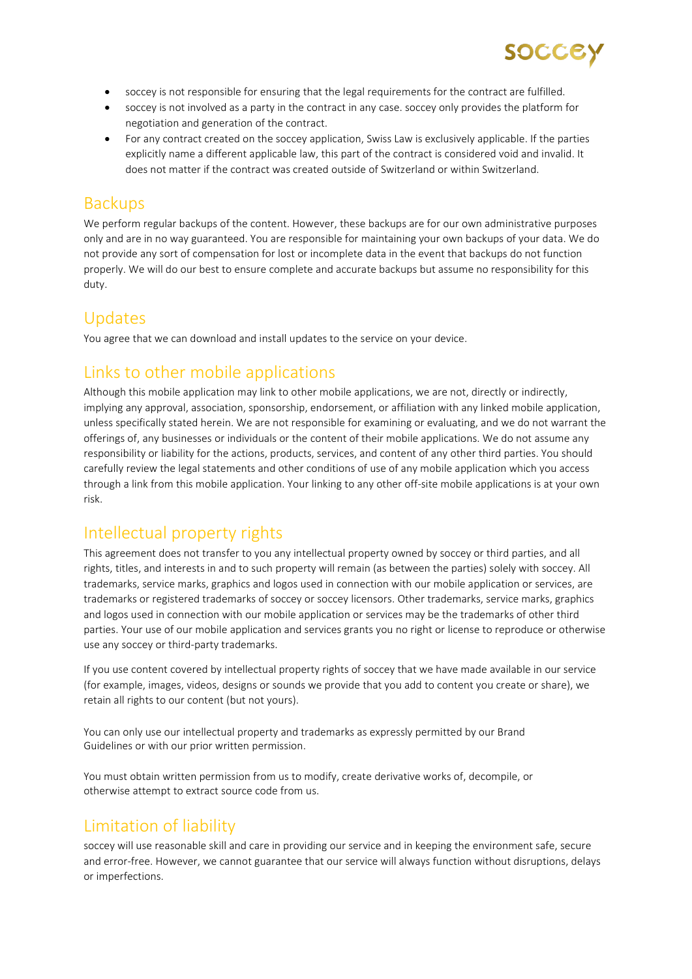

- soccey is not responsible for ensuring that the legal requirements for the contract are fulfilled.
- soccey is not involved as a party in the contract in any case. soccey only provides the platform for negotiation and generation of the contract.
- For any contract created on the soccey application, Swiss Law is exclusively applicable. If the parties explicitly name a different applicable law, this part of the contract is considered void and invalid. It does not matter if the contract was created outside of Switzerland or within Switzerland.

#### **Backups**

We perform regular backups of the content. However, these backups are for our own administrative purposes only and are in no way guaranteed. You are responsible for maintaining your own backups of your data. We do not provide any sort of compensation for lost or incomplete data in the event that backups do not function properly. We will do our best to ensure complete and accurate backups but assume no responsibility for this duty.

## Updates

You agree that we can download and install updates to the service on your device.

# Links to other mobile applications

Although this mobile application may link to other mobile applications, we are not, directly or indirectly, implying any approval, association, sponsorship, endorsement, or affiliation with any linked mobile application, unless specifically stated herein. We are not responsible for examining or evaluating, and we do not warrant the offerings of, any businesses or individuals or the content of their mobile applications. We do not assume any responsibility or liability for the actions, products, services, and content of any other third parties. You should carefully review the legal statements and other conditions of use of any mobile application which you access through a link from this mobile application. Your linking to any other off-site mobile applications is at your own risk.

# Intellectual property rights

This agreement does not transfer to you any intellectual property owned by soccey or third parties, and all rights, titles, and interests in and to such property will remain (as between the parties) solely with soccey. All trademarks, service marks, graphics and logos used in connection with our mobile application or services, are trademarks or registered trademarks of soccey or soccey licensors. Other trademarks, service marks, graphics and logos used in connection with our mobile application or services may be the trademarks of other third parties. Your use of our mobile application and services grants you no right or license to reproduce or otherwise use any soccey or third-party trademarks.

If you use content covered by intellectual property rights of soccey that we have made available in our service (for example, images, videos, designs or sounds we provide that you add to content you create or share), we retain all rights to our content (but not yours).

You can only use our intellectual property and trademarks as expressly permitted by our Brand Guidelines or with our prior written permission.

You must obtain written permission from us to modify, create derivative works of, decompile, or otherwise attempt to extract source code from us.

# Limitation of liability

soccey will use reasonable skill and care in providing our service and in keeping the environment safe, secure and error-free. However, we cannot guarantee that our service will always function without disruptions, delays or imperfections.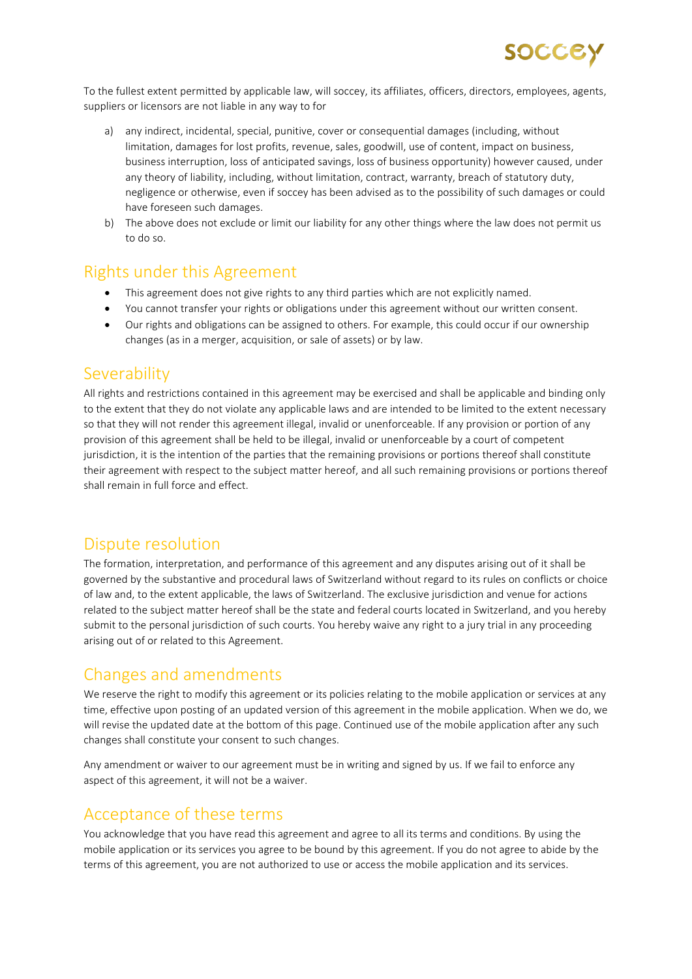To the fullest extent permitted by applicable law, will soccey, its affiliates, officers, directors, employees, agents, suppliers or licensors are not liable in any way to for

- a) any indirect, incidental, special, punitive, cover or consequential damages (including, without limitation, damages for lost profits, revenue, sales, goodwill, use of content, impact on business, business interruption, loss of anticipated savings, loss of business opportunity) however caused, under any theory of liability, including, without limitation, contract, warranty, breach of statutory duty, negligence or otherwise, even if soccey has been advised as to the possibility of such damages or could have foreseen such damages.
- b) The above does not exclude or limit our liability for any other things where the law does not permit us to do so.

## Rights under this Agreement

- This agreement does not give rights to any third parties which are not explicitly named.
- You cannot transfer your rights or obligations under this agreement without our written consent.
- Our rights and obligations can be assigned to others. For example, this could occur if our ownership changes (as in a merger, acquisition, or sale of assets) or by law.

#### **Severability**

All rights and restrictions contained in this agreement may be exercised and shall be applicable and binding only to the extent that they do not violate any applicable laws and are intended to be limited to the extent necessary so that they will not render this agreement illegal, invalid or unenforceable. If any provision or portion of any provision of this agreement shall be held to be illegal, invalid or unenforceable by a court of competent jurisdiction, it is the intention of the parties that the remaining provisions or portions thereof shall constitute their agreement with respect to the subject matter hereof, and all such remaining provisions or portions thereof shall remain in full force and effect.

## Dispute resolution

The formation, interpretation, and performance of this agreement and any disputes arising out of it shall be governed by the substantive and procedural laws of Switzerland without regard to its rules on conflicts or choice of law and, to the extent applicable, the laws of Switzerland. The exclusive jurisdiction and venue for actions related to the subject matter hereof shall be the state and federal courts located in Switzerland, and you hereby submit to the personal jurisdiction of such courts. You hereby waive any right to a jury trial in any proceeding arising out of or related to this Agreement.

# Changes and amendments

We reserve the right to modify this agreement or its policies relating to the mobile application or services at any time, effective upon posting of an updated version of this agreement in the mobile application. When we do, we will revise the updated date at the bottom of this page. Continued use of the mobile application after any such changes shall constitute your consent to such changes.

Any amendment or waiver to our agreement must be in writing and signed by us. If we fail to enforce any aspect of this agreement, it will not be a waiver.

## Acceptance of these terms

You acknowledge that you have read this agreement and agree to all its terms and conditions. By using the mobile application or its services you agree to be bound by this agreement. If you do not agree to abide by the terms of this agreement, you are not authorized to use or access the mobile application and its services.